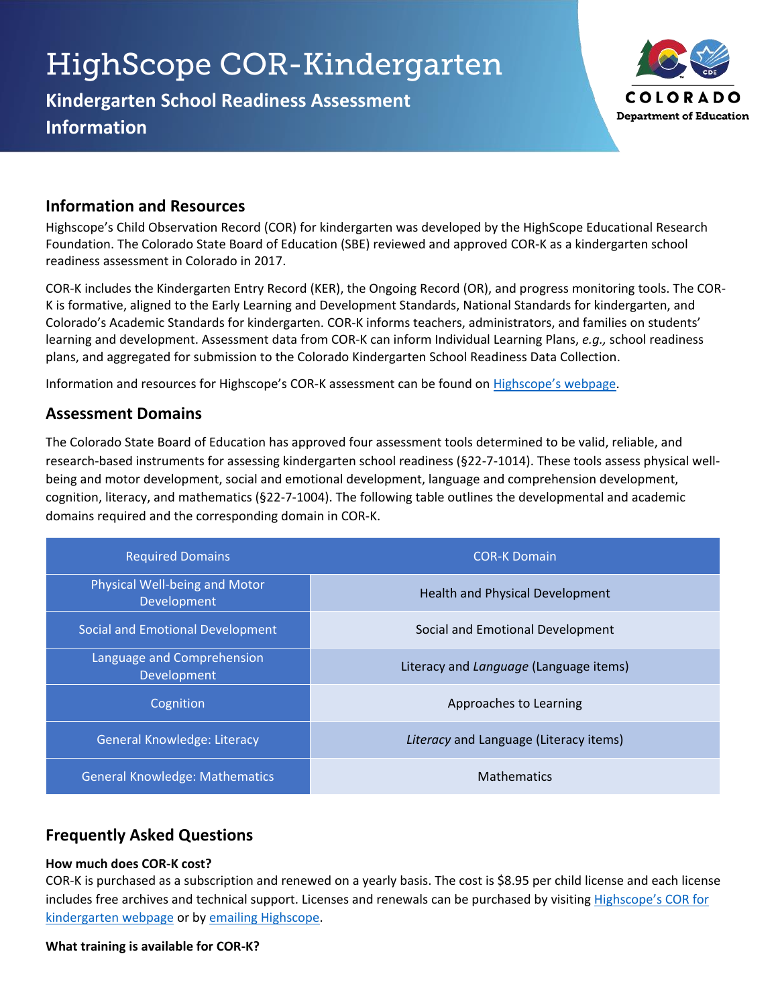# HighScope COR-Kindergarten

**Kindergarten School Readiness Assessment Information**



## **Information and Resources**

Highscope's Child Observation Record (COR) for kindergarten was developed by the HighScope Educational Research Foundation. The Colorado State Board of Education (SBE) reviewed and approved COR-K as a kindergarten school readiness assessment in Colorado in 2017.

COR-K includes the Kindergarten Entry Record (KER), the Ongoing Record (OR), and progress monitoring tools. The COR-K is formative, aligned to the Early Learning and Development Standards, National Standards for kindergarten, and Colorado's Academic Standards for kindergarten. COR-K informs teachers, administrators, and families on students' learning and development. Assessment data from COR-K can inform Individual Learning Plans, *e.g.,* school readiness plans, and aggregated for submission to the Colorado Kindergarten School Readiness Data Collection.

Information and resources for Highscope's COR-K assessment can be found on [Highscope's webpage](https://highscope.org/cor-advantage-kindergarten/).

## **Assessment Domains**

The Colorado State Board of Education has approved four assessment tools determined to be valid, reliable, and research-based instruments for assessing kindergarten school readiness (§22-7-1014). These tools assess physical wellbeing and motor development, social and emotional development, language and comprehension development, cognition, literacy, and mathematics (§22-7-1004). The following table outlines the developmental and academic domains required and the corresponding domain in COR-K.

| <b>Required Domains</b>                      | <b>COR-K Domain</b>                    |
|----------------------------------------------|----------------------------------------|
| Physical Well-being and Motor<br>Development | <b>Health and Physical Development</b> |
| Social and Emotional Development             | Social and Emotional Development       |
| Language and Comprehension<br>Development    | Literacy and Language (Language items) |
| Cognition                                    | Approaches to Learning                 |
| <b>General Knowledge: Literacy</b>           | Literacy and Language (Literacy items) |
| <b>General Knowledge: Mathematics</b>        | <b>Mathematics</b>                     |

## **Frequently Asked Questions**

#### **How much does COR-K cost?**

COR-K is purchased as a subscription and renewed on a yearly basis. The cost is \$8.95 per child license and each license includes free archives and technical support. Licenses and renewals can be purchased by visiting [Highscope's COR for](https://highscope.org/cor-advantage-kindergarten/)  [kindergarten webpage](https://highscope.org/cor-advantage-kindergarten/) or by [emailing Highscope.](mailto:cor@highscope.org?subject=COR-K%20license%20information)

#### **What training is available for COR-K?**